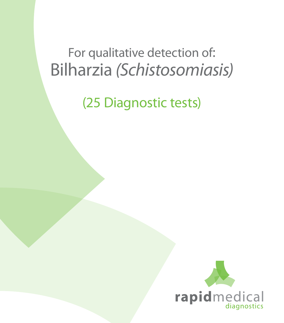# For qualitative detection of: Bilharzia *(Schistosomiasis)*

(25 Diagnostic tests)

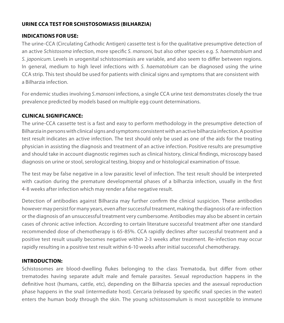## **URINE CCA TEST FOR SCHISTOSOMIASIS (BILHARZIA)**

#### **INDICATIONS FOR USE:**

The urine-CCA (Circulating Cathodic Antigen) cassette test is for the qualitative presumptive detection of an active *Schistosoma* infection, more specific *S. mansoni*, but also other species e.g. *S. haematobium* and *S. japonicum*. Levels in urogenital schistosomiasis are variable, and also seem to differ between regions. In general, medium to high level infections with *S. haematobium* can be diagnosed using the urine CCA strip. This test should be used for patients with clinical signs and symptoms that are consistent with a Bilharzia infection.

For endemic studies involving *S.mansoni* infections, a single CCA urine test demonstrates closely the true prevalence predicted by models based on multiple egg count determinations.

### **CLINICAL SIGNIFICANCE:**

The urine-CCA cassette test is a fast and easy to perform methodology in the presumptive detection of Bilharzia in persons with clinical signs and symptoms consistent with an active bilharzia infection. A positive test result indicates an active infection. The test should only be used as one of the aids for the treating physician in assisting the diagnosis and treatment of an active infection. Positive results are presumptive and should take in account diagnostic regimes such as clinical history, clinical findings, microscopy based diagnosis on urine or stool, serological testing, biopsy and or histological examination of tissue.

The test may be false negative in a low parasitic level of infection. The test result should be interpreted with caution during the premature developmental phases of a bilharzia infection, usually in the first 4-8 weeks after infection which may render a false negative result.

Detection of antibodies against Bilharzia may further confirm the clinical suspicion. These antibodies however may persist for many years, even after successful treatment, making the diagnosis of a re-infection or the diagnosis of an unsuccessful treatment very cumbersome. Antibodies may also be absent in certain cases of chronic active infection. According to certain literature successful treatment after one standard recommended dose of chemotherapy is 65-85%. CCA rapidly declines after successful treatment and a positive test result usually becomes negative within 2-3 weeks after treatment. Re-infection may occur rapidly resulting in a positive test result within 6-10 weeks after initial successful chemotherapy.

## **INTRODUCTION:**

Schistosomes are blood-dwelling flukes belonging to the class Trematoda, but differ from other trematodes having separate adult male and female parasites. Sexual reproduction happens in the definitive host (humans, cattle, etc), depending on the Bilharzia species and the asexual reproduction phase happens in the snail (intermediate host). Cercaria (released by specific snail species in the water) enters the human body through the skin. The young schistosomulum is most susceptible to immune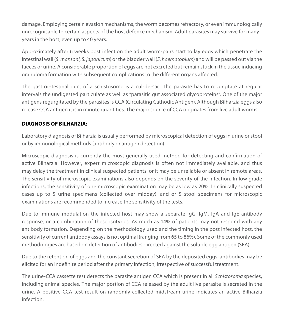damage. Employing certain evasion mechanisms, the worm becomes refractory, or even immunologically unrecognisable to certain aspects of the host defence mechanism. Adult parasites may survive for many years in the host, even up to 40 years.

Approximately after 6 weeks post infection the adult worm-pairs start to lay eggs which penetrate the intestinal wall (*S. mansoni, S. japonicum*) or the bladder wall (*S. haematobium*) and will be passed out via the faeces or urine. A considerable proportion of eggs are not excreted but remain stuck in the tissue inducing granuloma formation with subsequent complications to the different organs affected.

The gastrointestinal duct of a schistosome is a cul-de-sac. The parasite has to regurgitate at regular intervals the undigested particulate as well as "parasitic gut associated glycoproteins". One of the major antigens regurgitated by the parasites is CCA (Circulating Cathodic Antigen). Although Bilharzia eggs also release CCA antigen it is in minute quantities. The major source of CCA originates from live adult worms.

## **DIAGNOSIS OF BILHARZIA:**

Laboratory diagnosis of Bilharzia is usually performed by microscopical detection of eggs in urine or stool or by immunological methods (antibody or antigen detection).

Microscopic diagnosis is currently the most generally used method for detecting and confirmation of active Bilharzia. However, expert microscopic diagnosis is often not immediately available, and thus may delay the treatment in clinical suspected patients, or it may be unreliable or absent in remote areas. The sensitivity of microscopic examinations also depends on the severity of the infection. In low grade infections, the sensitivity of one microscopic examination may be as low as 20%. In clinically suspected cases up to 5 urine specimens (collected over midday), and or 5 stool specimens for microscopic examinations are recommended to increase the sensitivity of the tests.

Due to immune modulation the infected host may show a separate IgG, IgM, IgA and IgE antibody response, or a combination of these isotypes. As much as 14% of patients may not respond with any antibody formation. Depending on the methodology used and the timing in the post infected host, the sensitivity of current antibody assays is not optimal (ranging from 65 to 86%). Some of the commonly used methodologies are based on detection of antibodies directed against the soluble egg antigen (SEA).

Due to the retention of eggs and the constant secretion of SEA by the deposited eggs, antibodies may be elicited for an indefinite period after the primary infection, irrespective of successful treatment.

The urine-CCA cassette test detects the parasite antigen CCA which is present in all *Schistosoma* species, including animal species. The major portion of CCA released by the adult live parasite is secreted in the urine. A positive CCA test result on randomly collected midstream urine indicates an active Bilharzia infection.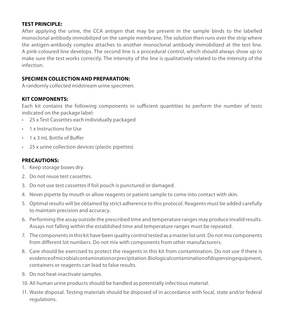#### **TEST PRINCIPLE:**

After applying the urine, the CCA antigen that may be present in the sample binds to the labelled monoclonal antibody immobilized on the sample membrane. The solution then runs over the strip where the antigen-antibody complex attaches to another monoclonal antibody immobilized at the test line. A pink-coloured line develops. The second line is a procedural control, which should always show up to make sure the test works correctly. The intensity of the line is qualitatively related to the intensity of the infection.

## **SPECIMEN COLLECTION AND PREPARATION:**

A randomly collected midstream urine specimen.

## **KIT COMPONENTS:**

Each kit contains the following components in sufficient quantities to perform the number of tests indicated on the package label:

- • 25 x Test Cassettes each individually packaged
- • 1 x Instructions for Use
- 1 x 3 mL Bottle of Buffer
- 25 x urine collection devices (plastic pipettes)

#### **PRECAUTIONS:**

- 1. Keep storage boxes dry.
- 2. Do not reuse test cassettes.
- 3. Do not use test cassettes if foil pouch is punctured or damaged.
- 4. Never pipette by mouth or allow reagents or patient sample to come into contact with skin.
- 5. Optimal results will be obtained by strict adherence to this protocol. Reagents must be added carefully to maintain precision and accuracy.
- 6. Performing the assay outside the prescribed time and temperature ranges may produce invalid results. Assays not falling within the established time and temperature ranges must be repeated.
- 7. The components in this kit have been quality control tested as a master lot unit. Do not mix components from different lot numbers. Do not mix with components from other manufacturers.
- 8. Care should be exercised to protect the reagents in this kit from contamination. Do not use if there is evidence of microbial contamination or precipitation. Biological contamination of dispensing equipment, containers or reagents can lead to false results.
- 9. Do not heat-inactivate samples.
- 10. All human urine products should be handled as potentially infectious material.
- 11. Waste disposal. Testing materials should be disposed of in accordance with local, state and/or federal regulations.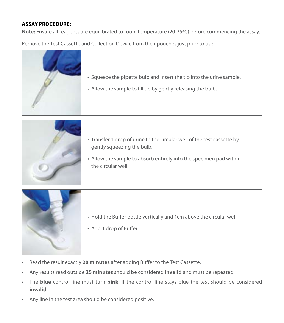### **ASSAY PROCEDURE:**

**Note:** Ensure all reagents are equilibrated to room temperature (20-25ºC) before commencing the assay.

Remove the Test Cassette and Collection Device from their pouches just prior to use.



- Squeeze the pipette bulb and insert the tip into the urine sample.
- Allow the sample to fill up by gently releasing the bulb.



- Transfer 1 drop of urine to the circular well of the test cassette by gently squeezing the bulb.
- Allow the sample to absorb entirely into the specimen pad within the circular well.



- Hold the Buffer bottle vertically and 1cm above the circular well.
- Add 1 drop of Buffer.
- Read the result exactly 20 minutes after adding Buffer to the Test Cassette.
- Any results read outside **25 minutes** should be considered **invalid** and must be repeated.
- The **blue** control line must turn **pink**. If the control line stays blue the test should be considered **invalid**.
- Any line in the test area should be considered positive.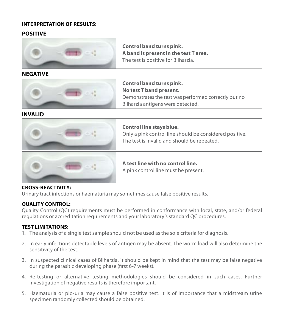#### **INTERPRETATION OF RESULTS:**

#### **POSITIVE**



**Control band turns pink. A band is present in the test T area.** The test is positive for Bilharzia.

#### **NEGATIVE**



**Control band turns pink. No test T band present.** Demonstrates the test was performed correctly but no Bilharzia antigens were detected.

**INVALID**



## **Control line stays blue.**

Only a pink control line should be considered positive. The test is invalid and should be repeated.



#### **A test line with no control line.** A pink control line must be present.

#### **CROSS-REACTIVITY:**

Urinary tract infections or haematuria may sometimes cause false positive results.

### **QUALITY CONTROL:**

Quality Control (QC) requirements must be performed in conformance with local, state, and/or federal regulations or accreditation requirements and your laboratory's standard QC procedures.

### **TEST LIMITATIONS:**

- 1. The analysis of a single test sample should not be used as the sole criteria for diagnosis.
- 2. In early infections detectable levels of antigen may be absent. The worm load will also determine the sensitivity of the test.
- 3. In suspected clinical cases of Bilharzia, it should be kept in mind that the test may be false negative during the parasitic developing phase (first 6-7 weeks).
- 4. Re-testing or alternative testing methodologies should be considered in such cases. Further investigation of negative results is therefore important.
- 5. Haematuria or pio-uria may cause a false positive test. It is of importance that a midstream urine specimen randomly collected should be obtained.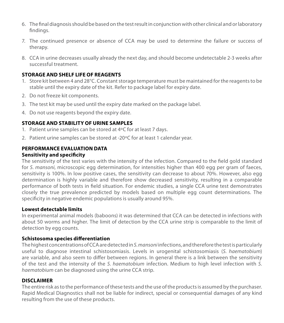- 6. The final diagnosis should be based on the test result in conjunction with other clinical and or laboratory findings.
- 7. The continued presence or absence of CCA may be used to determine the failure or success of therapy.
- 8. CCA in urine decreases usually already the next day, and should become undetectable 2-3 weeks after successful treatment.

#### **STORAGE AND SHELF LIFE OF REAGENTS**

- 1. Store kit between 4 and 28°C. Constant storage temperature must be maintained for the reagents to be stable until the expiry date of the kit. Refer to package label for expiry date.
- 2. Do not freeze kit components.
- 3. The test kit may be used until the expiry date marked on the package label.
- 4. Do not use reagents beyond the expiry date.

#### **STORAGE AND STABILITY OF URINE SAMPLES**

- 1. Patient urine samples can be stored at 4ºC for at least 7 days.
- 2. Patient urine samples can be stored at -20ºC for at least 1 calendar year.

#### **PERFORMANCE EVALUATION DATA**

#### **Sensitivity and specificity**

The sensitivity of the test varies with the intensity of the infection. Compared to the field gold standard for *S. mansoni*, microscopic egg determination, for intensities higher than 400 egg per gram of faeces, sensitivity is 100%. In low positive cases, the sensitivity can decrease to about 70%. However, also egg determination is highly variable and therefore show decreased sensitivity, resulting in a comparable performance of both tests in field situation. For endemic studies, a single CCA urine test demonstrates closely the true prevalence predicted by models based on multiple egg count determinations. The specificity in negative endemic populations is usually around 95%.

#### **Lowest detectable limits**

In experimental animal models (baboons) it was determined that CCA can be detected in infections with about 50 worms and higher. The limit of detection by the CCA urine strip is comparable to the limit of detection by egg counts.

#### **Schistosoma species differentiation**

The highest concentrations of CCA are detected in *S. mansoni* infections, and therefore the test is particularly useful to diagnose intestinal schistosomiasis. Levels in urogenital schistosomiasis (*S. haematobium*) are variable, and also seem to differ between regions. In general there is a link between the sensitivity of the test and the intensity of the *S. haematobium* infection. Medium to high level infection with *S. haematobium* can be diagnosed using the urine CCA strip.

#### **DISCLAIMER**

The entire risk as to the performance of these tests and the use of the products is assumed by the purchaser. Rapid Medical Diagnostics shall not be liable for indirect, special or consequential damages of any kind resulting from the use of these products.